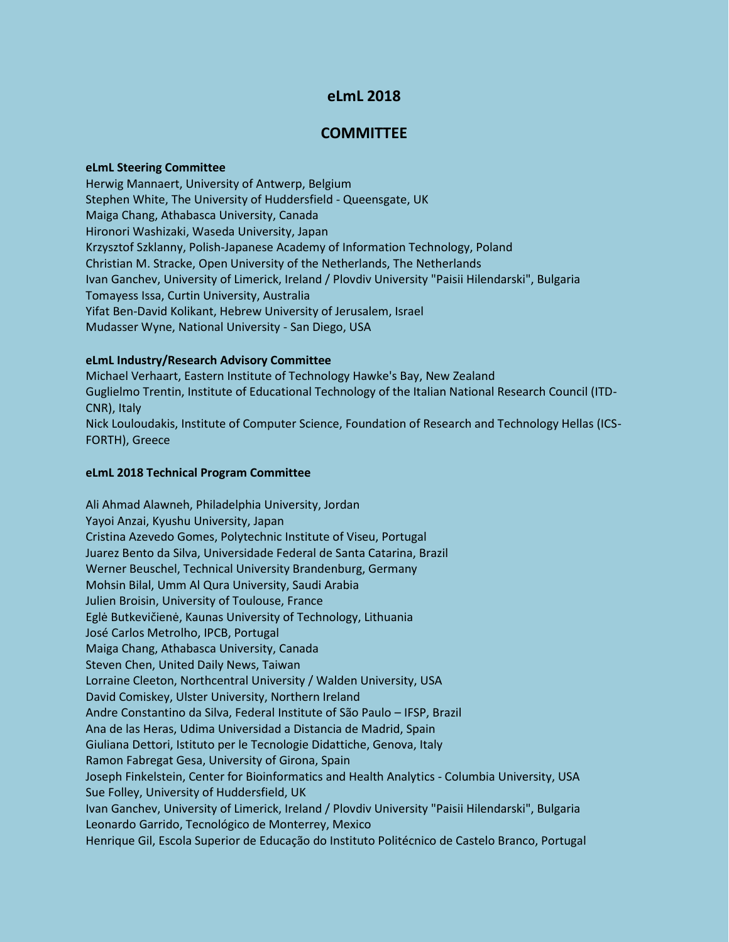# **eLmL 2018**

## **COMMITTEE**

#### **eLmL Steering Committee**

Herwig Mannaert, University of Antwerp, Belgium Stephen White, The University of Huddersfield - Queensgate, UK Maiga Chang, Athabasca University, Canada Hironori Washizaki, Waseda University, Japan Krzysztof Szklanny, Polish-Japanese Academy of Information Technology, Poland Christian M. Stracke, Open University of the Netherlands, The Netherlands Ivan Ganchev, University of Limerick, Ireland / Plovdiv University "Paisii Hilendarski", Bulgaria Tomayess Issa, Curtin University, Australia Yifat Ben-David Kolikant, Hebrew University of Jerusalem, Israel Mudasser Wyne, National University - San Diego, USA

### **eLmL Industry/Research Advisory Committee**

Michael Verhaart, Eastern Institute of Technology Hawke's Bay, New Zealand Guglielmo Trentin, Institute of Educational Technology of the Italian National Research Council (ITD-CNR), Italy Nick Louloudakis, Institute of Computer Science, Foundation of Research and Technology Hellas (ICS-FORTH), Greece

### **eLmL 2018 Technical Program Committee**

Ali Ahmad Alawneh, Philadelphia University, Jordan Yayoi Anzai, Kyushu University, Japan Cristina Azevedo Gomes, Polytechnic Institute of Viseu, Portugal Juarez Bento da Silva, Universidade Federal de Santa Catarina, Brazil Werner Beuschel, Technical University Brandenburg, Germany Mohsin Bilal, Umm Al Qura University, Saudi Arabia Julien Broisin, University of Toulouse, France Eglė Butkevičienė, Kaunas University of Technology, Lithuania José Carlos Metrolho, IPCB, Portugal Maiga Chang, Athabasca University, Canada Steven Chen, United Daily News, Taiwan Lorraine Cleeton, Northcentral University / Walden University, USA David Comiskey, Ulster University, Northern Ireland Andre Constantino da Silva, Federal Institute of São Paulo – IFSP, Brazil Ana de las Heras, Udima Universidad a Distancia de Madrid, Spain Giuliana Dettori, Istituto per le Tecnologie Didattiche, Genova, Italy Ramon Fabregat Gesa, University of Girona, Spain Joseph Finkelstein, Center for Bioinformatics and Health Analytics - Columbia University, USA Sue Folley, University of Huddersfield, UK Ivan Ganchev, University of Limerick, Ireland / Plovdiv University "Paisii Hilendarski", Bulgaria Leonardo Garrido, Tecnológico de Monterrey, Mexico Henrique Gil, Escola Superior de Educação do Instituto Politécnico de Castelo Branco, Portugal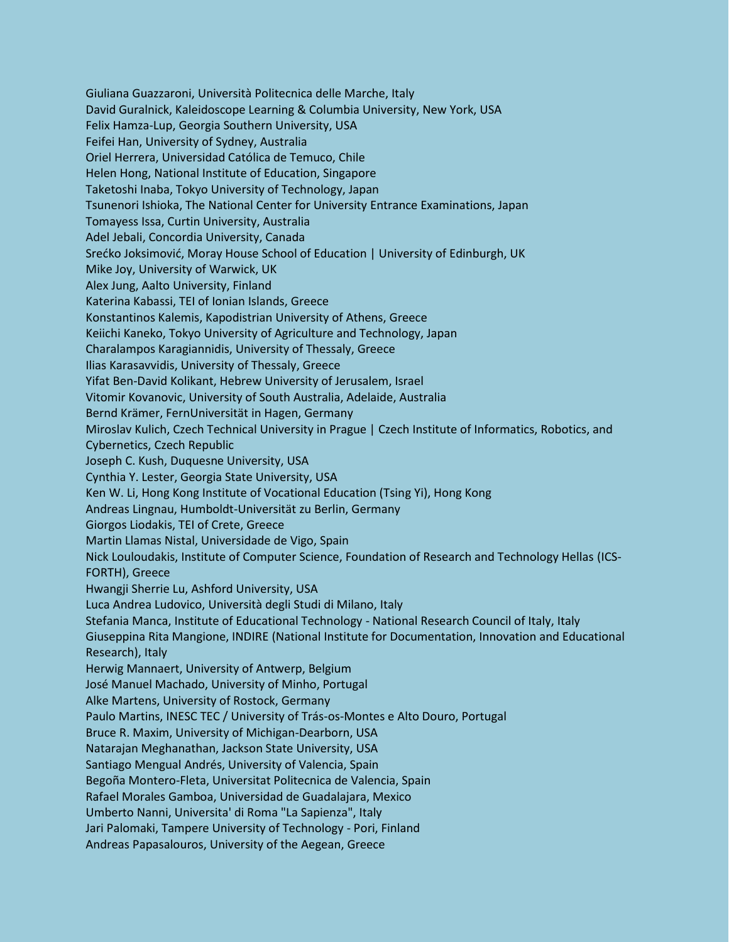Giuliana Guazzaroni, Università Politecnica delle Marche, Italy David Guralnick, Kaleidoscope Learning & Columbia University, New York, USA Felix Hamza-Lup, Georgia Southern University, USA Feifei Han, University of Sydney, Australia Oriel Herrera, Universidad Católica de Temuco, Chile Helen Hong, National Institute of Education, Singapore Taketoshi Inaba, Tokyo University of Technology, Japan Tsunenori Ishioka, The National Center for University Entrance Examinations, Japan Tomayess Issa, Curtin University, Australia Adel Jebali, Concordia University, Canada Srećko Joksimović, Moray House School of Education | University of Edinburgh, UK Mike Joy, University of Warwick, UK Alex Jung, Aalto University, Finland Katerina Kabassi, TEI of Ionian Islands, Greece Konstantinos Kalemis, Kapodistrian University of Athens, Greece Keiichi Kaneko, Tokyo University of Agriculture and Technology, Japan Charalampos Karagiannidis, University of Thessaly, Greece Ilias Karasavvidis, University of Thessaly, Greece Yifat Ben-David Kolikant, Hebrew University of Jerusalem, Israel Vitomir Kovanovic, University of South Australia, Adelaide, Australia Bernd Krämer, FernUniversität in Hagen, Germany Miroslav Kulich, Czech Technical University in Prague | Czech Institute of Informatics, Robotics, and Cybernetics, Czech Republic Joseph C. Kush, Duquesne University, USA Cynthia Y. Lester, Georgia State University, USA Ken W. Li, Hong Kong Institute of Vocational Education (Tsing Yi), Hong Kong Andreas Lingnau, Humboldt-Universität zu Berlin, Germany Giorgos Liodakis, TEI of Crete, Greece Martin Llamas Nistal, Universidade de Vigo, Spain Nick Louloudakis, Institute of Computer Science, Foundation of Research and Technology Hellas (ICS-FORTH), Greece Hwangji Sherrie Lu, Ashford University, USA Luca Andrea Ludovico, Università degli Studi di Milano, Italy Stefania Manca, Institute of Educational Technology - National Research Council of Italy, Italy Giuseppina Rita Mangione, INDIRE (National Institute for Documentation, Innovation and Educational Research), Italy Herwig Mannaert, University of Antwerp, Belgium José Manuel Machado, University of Minho, Portugal Alke Martens, University of Rostock, Germany Paulo Martins, INESC TEC / University of Trás-os-Montes e Alto Douro, Portugal Bruce R. Maxim, University of Michigan-Dearborn, USA Natarajan Meghanathan, Jackson State University, USA Santiago Mengual Andrés, University of Valencia, Spain Begoña Montero-Fleta, Universitat Politecnica de Valencia, Spain Rafael Morales Gamboa, Universidad de Guadalajara, Mexico Umberto Nanni, Universita' di Roma "La Sapienza", Italy Jari Palomaki, Tampere University of Technology - Pori, Finland Andreas Papasalοuros, University of the Aegean, Greece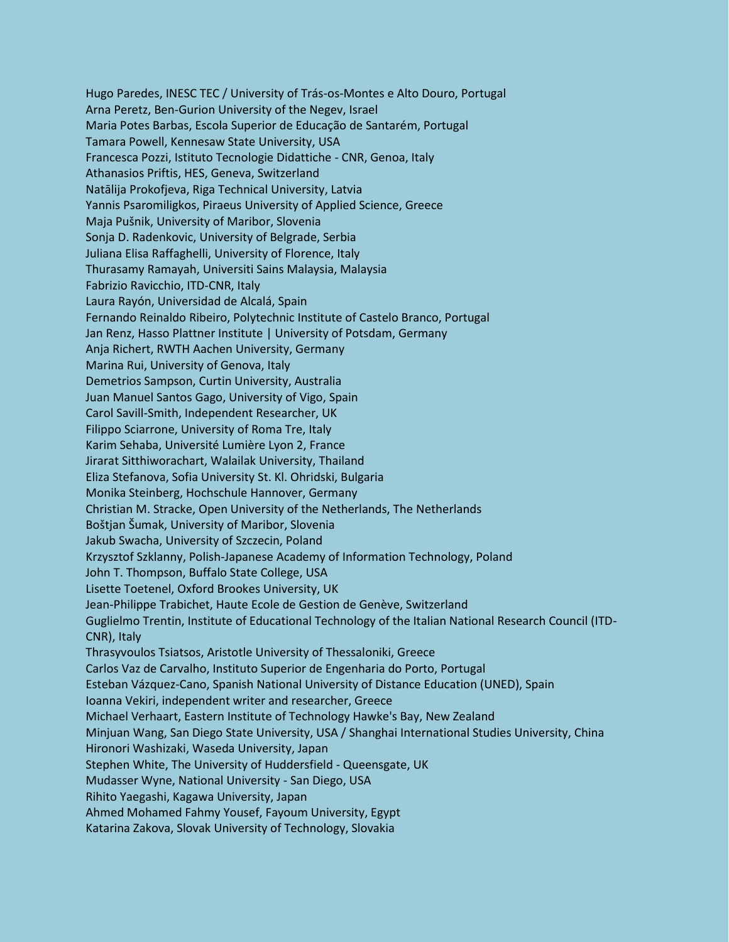Hugo Paredes, INESC TEC / University of Trás-os-Montes e Alto Douro, Portugal Arna Peretz, Ben-Gurion University of the Negev, Israel Maria Potes Barbas, Escola Superior de Educação de Santarém, Portugal Tamara Powell, Kennesaw State University, USA Francesca Pozzi, Istituto Tecnologie Didattiche - CNR, Genoa, Italy Athanasios Priftis, HES, Geneva, Switzerland Natālija Prokofjeva, Riga Technical University, Latvia Yannis Psaromiligkos, Piraeus University of Applied Science, Greece Maja Pušnik, University of Maribor, Slovenia Sonja D. Radenkovic, University of Belgrade, Serbia Juliana Elisa Raffaghelli, University of Florence, Italy Thurasamy Ramayah, Universiti Sains Malaysia, Malaysia Fabrizio Ravicchio, ITD-CNR, Italy Laura Rayón, Universidad de Alcalá, Spain Fernando Reinaldo Ribeiro, Polytechnic Institute of Castelo Branco, Portugal Jan Renz, Hasso Plattner Institute | University of Potsdam, Germany Anja Richert, RWTH Aachen University, Germany Marina Rui, University of Genova, Italy Demetrios Sampson, Curtin University, Australia Juan Manuel Santos Gago, University of Vigo, Spain Carol Savill-Smith, Independent Researcher, UK Filippo Sciarrone, University of Roma Tre, Italy Karim Sehaba, Université Lumière Lyon 2, France Jirarat Sitthiworachart, Walailak University, Thailand Eliza Stefanova, Sofia University St. Kl. Ohridski, Bulgaria Monika Steinberg, Hochschule Hannover, Germany Christian M. Stracke, Open University of the Netherlands, The Netherlands Boštjan Šumak, University of Maribor, Slovenia Jakub Swacha, University of Szczecin, Poland Krzysztof Szklanny, Polish-Japanese Academy of Information Technology, Poland John T. Thompson, Buffalo State College, USA Lisette Toetenel, Oxford Brookes University, UK Jean-Philippe Trabichet, Haute Ecole de Gestion de Genève, Switzerland Guglielmo Trentin, Institute of Educational Technology of the Italian National Research Council (ITD-CNR), Italy Thrasyvoulos Tsiatsos, Aristotle University of Thessaloniki, Greece Carlos Vaz de Carvalho, Instituto Superior de Engenharia do Porto, Portugal Esteban Vázquez-Cano, Spanish National University of Distance Education (UNED), Spain Ioanna Vekiri, independent writer and researcher, Greece Michael Verhaart, Eastern Institute of Technology Hawke's Bay, New Zealand Minjuan Wang, San Diego State University, USA / Shanghai International Studies University, China Hironori Washizaki, Waseda University, Japan Stephen White, The University of Huddersfield - Queensgate, UK Mudasser Wyne, National University - San Diego, USA Rihito Yaegashi, Kagawa University, Japan Ahmed Mohamed Fahmy Yousef, Fayoum University, Egypt Katarina Zakova, Slovak University of Technology, Slovakia